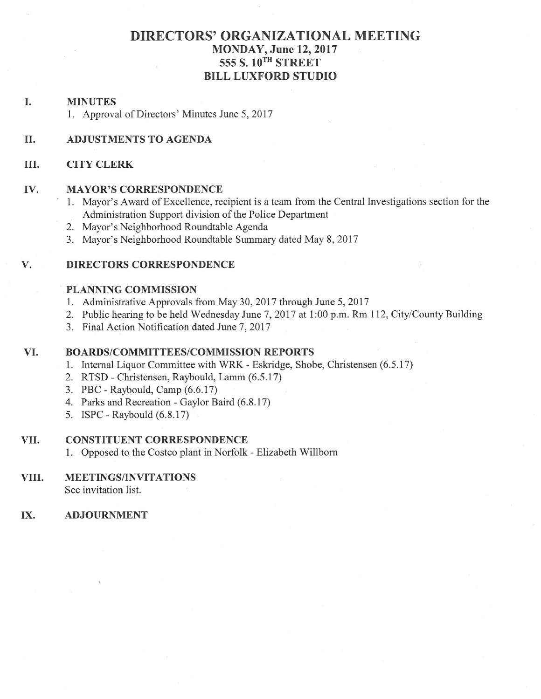# **DIRECTORS' ORGANIZATIONAL MEETING** MONDAY, June 12, 2017 555 S. 10TH STREET **BILL LUXFORD STUDIO**

#### I. **MINUTES**

1. Approval of Directors' Minutes June 5, 2017

### II. **ADJUSTMENTS TO AGENDA**

#### III. **CITY CLERK**

#### IV. **MAYOR'S CORRESPONDENCE**

- 1. Mayor's Award of Excellence, recipient is a team from the Central Investigations section for the Administration Support division of the Police Department
- 2. Mayor's Neighborhood Roundtable Agenda
- 3. Mayor's Neighborhood Roundtable Summary dated May 8, 2017

#### V. **DIRECTORS CORRESPONDENCE**

### **PLANNING COMMISSION**

- 1. Administrative Approvals from May 30, 2017 through June 5, 2017
- 2. Public hearing to be held Wednesday June 7, 2017 at 1:00 p.m. Rm 112, City/County Building
- 3. Final Action Notification dated June 7, 2017

### VI. **BOARDS/COMMITTEES/COMMISSION REPORTS**

- 1. Internal Liquor Committee with WRK Eskridge, Shobe, Christensen (6.5.17)
- 2. RTSD Christensen, Raybould, Lamm (6.5.17)
- 3. PBC Raybould, Camp (6.6.17)
- 4. Parks and Recreation Gaylor Baird (6.8.17)
- 5. ISPC Raybould (6.8.17)

#### **CONSTITUENT CORRESPONDENCE** VII.

1. Opposed to the Costco plant in Norfolk - Elizabeth Willborn

#### VIII. **MEETINGS/INVITATIONS**

See invitation list.

#### IX. **ADJOURNMENT**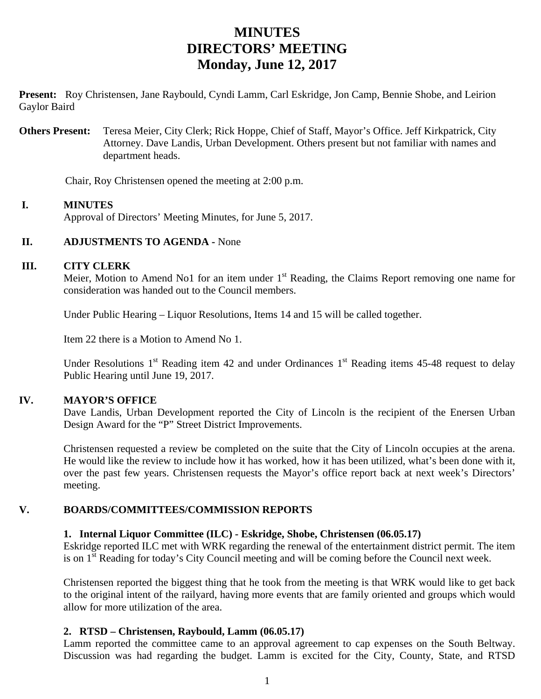# **MINUTES DIRECTORS' MEETING Monday, June 12, 2017**

**Present:** Roy Christensen, Jane Raybould, Cyndi Lamm, Carl Eskridge, Jon Camp, Bennie Shobe, and Leirion Gaylor Baird

**Others Present:** Teresa Meier, City Clerk; Rick Hoppe, Chief of Staff, Mayor's Office. Jeff Kirkpatrick, City Attorney. Dave Landis, Urban Development. Others present but not familiar with names and department heads.

Chair, Roy Christensen opened the meeting at 2:00 p.m.

### **I. MINUTES**

Approval of Directors' Meeting Minutes, for June 5, 2017.

### **II. ADJUSTMENTS TO AGENDA - None**

### **III. CITY CLERK**

Meier, Motion to Amend No1 for an item under 1<sup>st</sup> Reading, the Claims Report removing one name for consideration was handed out to the Council members.

Under Public Hearing – Liquor Resolutions, Items 14 and 15 will be called together.

Item 22 there is a Motion to Amend No 1.

Under Resolutions  $1<sup>st</sup>$  Reading item 42 and under Ordinances  $1<sup>st</sup>$  Reading items 45-48 request to delay Public Hearing until June 19, 2017.

## **IV. MAYOR'S OFFICE**

Dave Landis, Urban Development reported the City of Lincoln is the recipient of the Enersen Urban Design Award for the "P" Street District Improvements.

Christensen requested a review be completed on the suite that the City of Lincoln occupies at the arena. He would like the review to include how it has worked, how it has been utilized, what's been done with it, over the past few years. Christensen requests the Mayor's office report back at next week's Directors' meeting.

## **V. BOARDS/COMMITTEES/COMMISSION REPORTS**

### **1. Internal Liquor Committee (ILC) - Eskridge, Shobe, Christensen (06.05.17)**

Eskridge reported ILC met with WRK regarding the renewal of the entertainment district permit. The item is on 1<sup>st</sup> Reading for today's City Council meeting and will be coming before the Council next week.

Christensen reported the biggest thing that he took from the meeting is that WRK would like to get back to the original intent of the railyard, having more events that are family oriented and groups which would allow for more utilization of the area.

### **2. RTSD – Christensen, Raybould, Lamm (06.05.17)**

Lamm reported the committee came to an approval agreement to cap expenses on the South Beltway. Discussion was had regarding the budget. Lamm is excited for the City, County, State, and RTSD